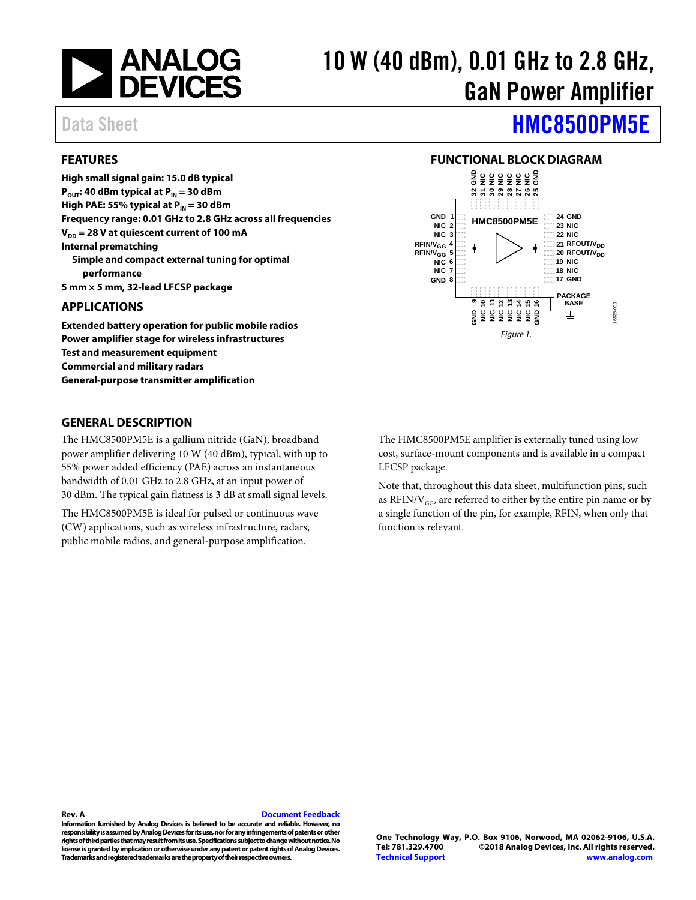

# 10 W (40 dBm), 0.01 GHz to 2.8 GHz, GaN Power Amplifier

### <span id="page-0-0"></span>**FEATURES**

**High small signal gain: 15.0 dB typical P**<sub>OUT</sub>: 40 dBm **typical** at P<sub>IN</sub> = 30 dBm **High PAE: 55% typical at P<sub>IN</sub> = 30 dBm Frequency range: 0.01 GHz to 2.8 GHz across all frequencies**  $V_{\text{DD}}$  = 28 V at quiescent current of 100 mA **Internal prematching Simple and compact external tuning for optimal performance 5 mm × 5 mm, 32-lead LFCSP package**

#### <span id="page-0-1"></span>**APPLICATIONS**

**Extended battery operation for public mobile radios Power amplifier stage for wireless infrastructures Test and measurement equipment Commercial and military radars General-purpose transmitter amplification**

#### <span id="page-0-3"></span>**GENERAL DESCRIPTION**

The HMC8500PM5E is a gallium nitride (GaN), broadband power amplifier delivering 10 W (40 dBm), typical, with up to 55% power added efficiency (PAE) across an instantaneous bandwidth of 0.01 GHz to 2.8 GHz, at an input power of 30 dBm. The typical gain flatness is 3 dB at small signal levels.

The HMC8500PM5E is ideal for pulsed or continuous wave (CW) applications, such as wireless infrastructure, radars, public mobile radios, and general-purpose amplification.

Data Sheet **[HMC8500PM5E](http://www.analog.com/hmc8500pm5e?doc=hmc8500pm5e.pdf)** 

### **FUNCTIONAL BLOCK DIAGRAM**

<span id="page-0-2"></span>

The HMC8500PM5E amplifier is externally tuned using low cost, surface-mount components and is available in a compact LFCSP package.

Note that, throughout this data sheet, multifunction pins, such as RFIN/ $V_{GG}$ , are referred to either by the entire pin name or by a single function of the pin, for example, RFIN, when only that function is relevant.

#### **Rev. A [Document Feedback](https://form.analog.com/Form_Pages/feedback/documentfeedback.aspx?doc=HMC8500PM5E.pdf&product=HMC8500PM5E&rev=A)**

**Information furnished by Analog Devices is believed to be accurate and reliable. However, no responsibility is assumed by Analog Devices for its use, nor for any infringements of patents or other rights of third parties that may result from its use. Specifications subject to change without notice. No license is granted by implication or otherwise under any patent or patent rights of Analog Devices. Trademarks and registered trademarks are the property of their respective owners.**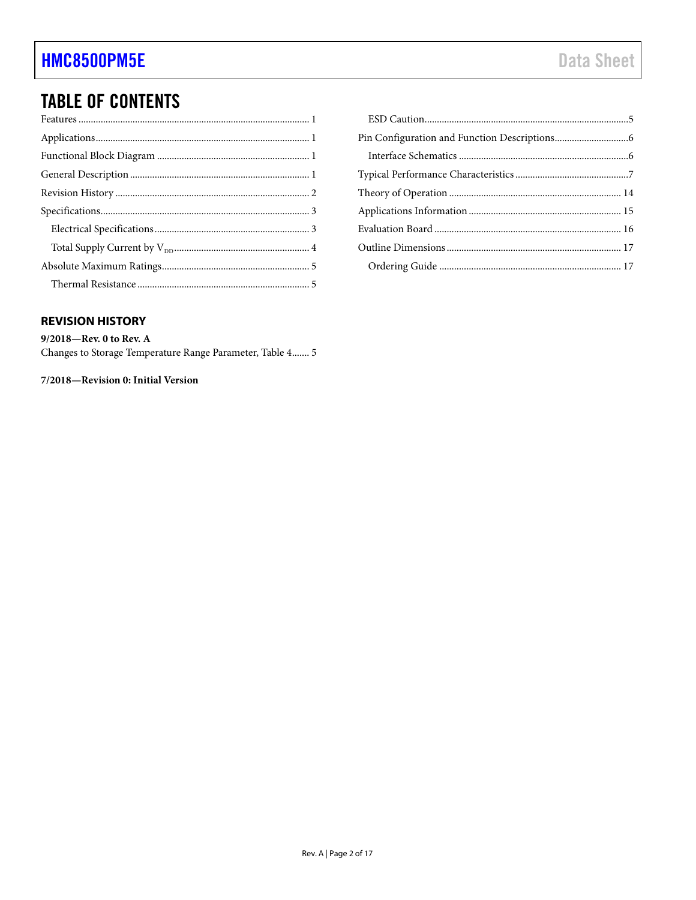# **TABLE OF CONTENTS**

### <span id="page-1-0"></span>**REVISION HISTORY**

9/2018-Rev. 0 to Rev. A Changes to Storage Temperature Range Parameter, Table 4....... 5

7/2018-Revision 0: Initial Version

| Ordering Guide and the state of the 17 |  |
|----------------------------------------|--|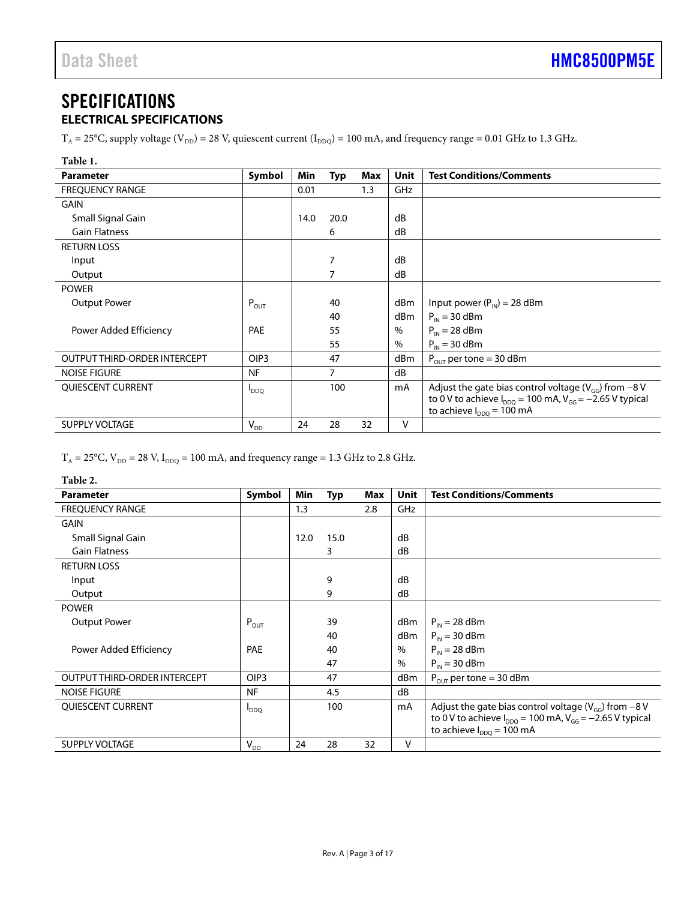# <span id="page-2-0"></span>SPECIFICATIONS

## <span id="page-2-1"></span>**ELECTRICAL SPECIFICATIONS**

 $T_A = 25^{\circ}$ C, supply voltage (V<sub>DD</sub>) = 28 V, quiescent current (I<sub>DDQ</sub>) = 100 mA, and frequency range = 0.01 GHz to 1.3 GHz.

<span id="page-2-2"></span>

| Table 1.                     |                  |      |            |     |             |                                                                  |
|------------------------------|------------------|------|------------|-----|-------------|------------------------------------------------------------------|
| <b>Parameter</b>             | Symbol           | Min  | <b>Typ</b> | Max | <b>Unit</b> | <b>Test Conditions/Comments</b>                                  |
| <b>FREQUENCY RANGE</b>       |                  | 0.01 |            | 1.3 | <b>GHz</b>  |                                                                  |
| <b>GAIN</b>                  |                  |      |            |     |             |                                                                  |
| Small Signal Gain            |                  | 14.0 | 20.0       |     | dB          |                                                                  |
| <b>Gain Flatness</b>         |                  |      | 6          |     | dB          |                                                                  |
| <b>RETURN LOSS</b>           |                  |      |            |     |             |                                                                  |
| Input                        |                  |      | 7          |     | dB          |                                                                  |
| Output                       |                  |      | 7          |     | dB          |                                                                  |
| <b>POWER</b>                 |                  |      |            |     |             |                                                                  |
| <b>Output Power</b>          | $P_{OUT}$        |      | 40         |     | dBm         | Input power $(P_{IN}) = 28$ dBm                                  |
|                              |                  |      | 40         |     | dBm         | $P_{IN}$ = 30 dBm                                                |
| Power Added Efficiency       | <b>PAE</b>       |      | 55         |     | $\%$        | $P_{IN} = 28$ dBm                                                |
|                              |                  |      | 55         |     | $\%$        | $P_{IN}$ = 30 dBm                                                |
| OUTPUT THIRD-ORDER INTERCEPT | OIP <sub>3</sub> |      | 47         |     | dBm         | $P_{\text{OUT}}$ per tone = 30 dBm                               |
| <b>NOISE FIGURE</b>          | <b>NF</b>        |      | 7          |     | dB          |                                                                  |
| QUIESCENT CURRENT            | <b>DDQ</b>       |      | 100        |     | mA          | Adjust the gate bias control voltage ( $V_{GG}$ ) from -8 V      |
|                              |                  |      |            |     |             | to 0 V to achieve $I_{DDO}$ = 100 mA, $V_{GG}$ = -2.65 V typical |
|                              |                  |      |            |     |             | to achieve $I_{DDO} = 100$ mA                                    |
| <b>SUPPLY VOLTAGE</b>        | $V_{DD}$         | 24   | 28         | 32  | v           |                                                                  |

 $\rm T_A$  = 25°C,  $\rm V_{\rm DD}$  = 28 V,  $\rm I_{\rm DDQ}$  = 100 mA, and frequency range = 1.3 GHz to 2.8 GHz.

#### <span id="page-2-3"></span>**Table 2.**

| <b>Parameter</b>             | Symbol           | Min  | <b>Typ</b> | Max | Unit | <b>Test Conditions/Comments</b>                                                                   |
|------------------------------|------------------|------|------------|-----|------|---------------------------------------------------------------------------------------------------|
| <b>FREQUENCY RANGE</b>       |                  | 1.3  |            | 2.8 | GHz  |                                                                                                   |
| <b>GAIN</b>                  |                  |      |            |     |      |                                                                                                   |
| Small Signal Gain            |                  | 12.0 | 15.0       |     | dB   |                                                                                                   |
| <b>Gain Flatness</b>         |                  |      | 3          |     | dB   |                                                                                                   |
| <b>RETURN LOSS</b>           |                  |      |            |     |      |                                                                                                   |
| Input                        |                  |      | 9          |     | dB   |                                                                                                   |
| Output                       |                  |      | 9          |     | dB   |                                                                                                   |
| <b>POWER</b>                 |                  |      |            |     |      |                                                                                                   |
| <b>Output Power</b>          | $P_{OUT}$        |      | 39         |     | dBm  | $P_{IN} = 28$ dBm                                                                                 |
|                              |                  |      | 40         |     | dBm  | $P_{IN}$ = 30 dBm                                                                                 |
| Power Added Efficiency       | <b>PAE</b>       |      | 40         |     | %    | $P_{IN} = 28$ dBm                                                                                 |
|                              |                  |      | 47         |     | $\%$ | $P_{IN}$ = 30 dBm                                                                                 |
| OUTPUT THIRD-ORDER INTERCEPT | OIP <sub>3</sub> |      | 47         |     | dBm  | $P_{\text{OUT}}$ per tone = 30 dBm                                                                |
| <b>NOISE FIGURE</b>          | <b>NF</b>        |      | 4.5        |     | dB   |                                                                                                   |
| <b>QUIESCENT CURRENT</b>     | $I_{DDQ}$        |      | 100        |     | mA   | Adjust the gate bias control voltage ( $V_{GG}$ ) from -8 V                                       |
|                              |                  |      |            |     |      | to 0 V to achieve $I_{DDO}$ = 100 mA, $V_{GG}$ = -2.65 V typical<br>to achieve $I_{DDO} = 100$ mA |
| <b>SUPPLY VOLTAGE</b>        |                  | 24   | 28         | 32  | v    |                                                                                                   |
|                              | $V_{DD}$         |      |            |     |      |                                                                                                   |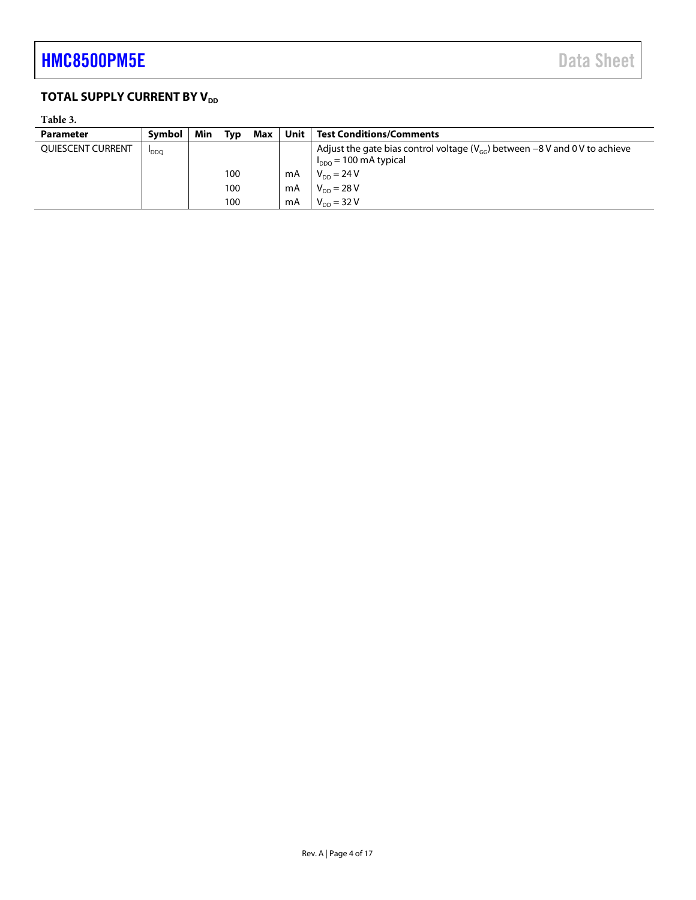## <span id="page-3-0"></span>**TOTAL SUPPLY CURRENT BY V<sub>DD</sub>**

### **Table 3.**

| <b>Parameter</b>  | Symbol     | Min<br>Tvp | Max | Unit | <b>Test Conditions/Comments</b>                                                                               |
|-------------------|------------|------------|-----|------|---------------------------------------------------------------------------------------------------------------|
| QUIESCENT CURRENT | <b>DDQ</b> |            |     |      | Adjust the gate bias control voltage ( $V_{GG}$ ) between -8V and 0V to achieve<br>$I_{DDO}$ = 100 mA typical |
|                   |            | 100        |     | mA   | $V_{DD} = 24 V$                                                                                               |
|                   |            | 100        |     | mA   | $V_{DD} = 28 V$                                                                                               |
|                   |            | 100        |     | mA   | $V_{DD} = 32 V$                                                                                               |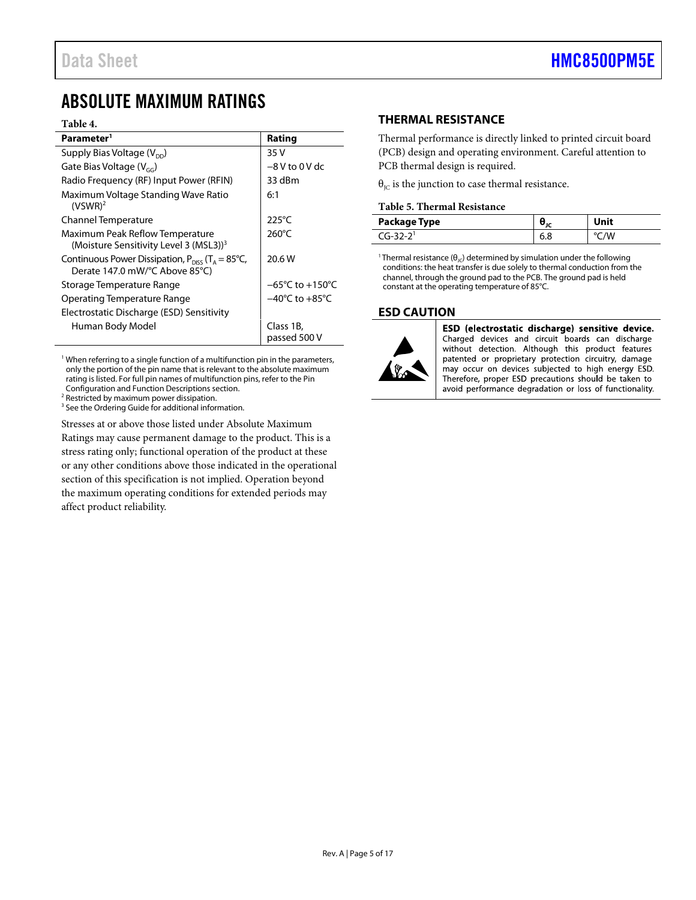## <span id="page-4-0"></span>ABSOLUTE MAXIMUM RATINGS

#### **Table 4.**

| Parameter <sup>1</sup>                                                                            | Rating                              |
|---------------------------------------------------------------------------------------------------|-------------------------------------|
| Supply Bias Voltage $(V_{DD})$                                                                    | 35 V                                |
| Gate Bias Voltage $(V_{cc})$                                                                      | $-8V$ to 0 V dc                     |
| Radio Frequency (RF) Input Power (RFIN)                                                           | 33 dBm                              |
| Maximum Voltage Standing Wave Ratio<br>$(VSWR)^2$                                                 | 6:1                                 |
| Channel Temperature                                                                               | $225^{\circ}$ C                     |
| Maximum Peak Reflow Temperature<br>(Moisture Sensitivity Level 3 (MSL3)) <sup>3</sup>             | 260°C                               |
| Continuous Power Dissipation, $P_{DIS}$ (T <sub>A</sub> = 85°C,<br>Derate 147.0 mW/°C Above 85°C) | 20.6 W                              |
| Storage Temperature Range                                                                         | $-65^{\circ}$ C to $+150^{\circ}$ C |
| Operating Temperature Range                                                                       | $-40^{\circ}$ C to $+85^{\circ}$ C  |
| Electrostatic Discharge (ESD) Sensitivity                                                         |                                     |
| Human Body Model                                                                                  | Class 1B,<br>passed 500 V           |

 $1$  When referring to a single function of a multifunction pin in the parameters, only the portion of the pin name that is relevant to the absolute maximum rating is listed. For full pin names of multifunction pins, refer to th[e Pin](#page-5-0)  [Configuration and Function Descriptions](#page-5-0) section.

<sup>2</sup> Restricted by maximum power dissipation.

<sup>3</sup> See th[e Ordering Guide](#page-16-1) for additional information.

Stresses at or above those listed under Absolute Maximum

Ratings may cause permanent damage to the product. This is a stress rating only; functional operation of the product at these or any other conditions above those indicated in the operational section of this specification is not implied. Operation beyond the maximum operating conditions for extended periods may affect product reliability.

#### <span id="page-4-1"></span>**THERMAL RESISTANCE**

Thermal performance is directly linked to printed circuit board (PCB) design and operating environment. Careful attention to PCB thermal design is required.

 $\theta_{\text{IC}}$  is the junction to case thermal resistance.

#### **Table 5. Thermal Resistance**

| Package Type | Unit |
|--------------|------|
| $CA-32-21$   | °C/W |

<sup>1</sup> Thermal resistance ( $\theta_{\text{JC}}$ ) determined by simulation under the following conditions: the heat transfer is due solely to thermal conduction from the channel, through the ground pad to the PCB. The ground pad is held constant at the operating temperature of 85°C.

#### <span id="page-4-2"></span>**ESD CAUTION**



ESD (electrostatic discharge) sensitive device. Charged devices and circuit boards can discharge without detection. Although this product features patented or proprietary protection circuitry, damage may occur on devices subjected to high energy ESD. Therefore, proper ESD precautions should be taken to avoid performance degradation or loss of functionality.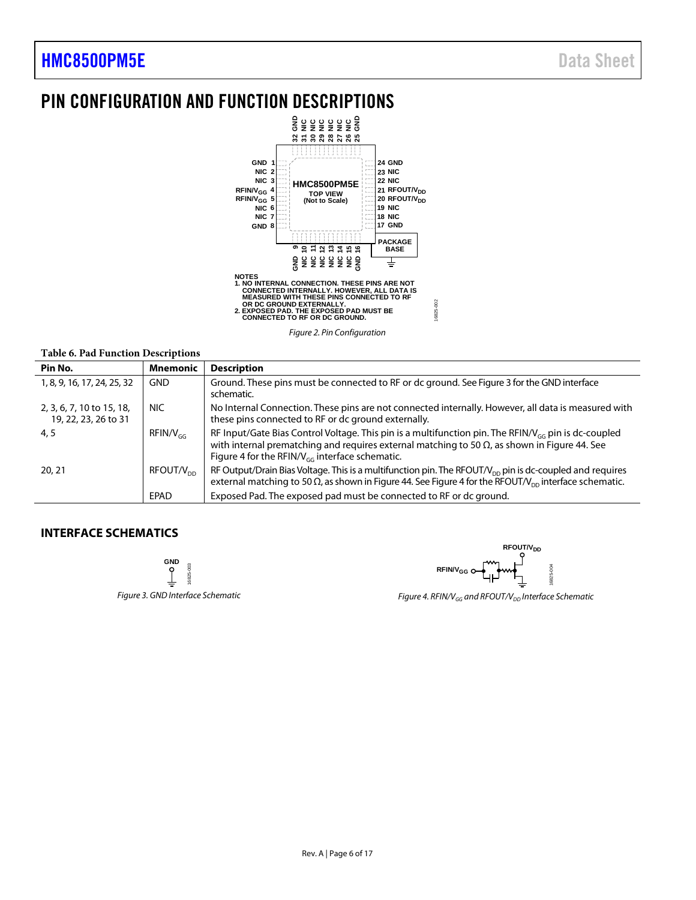## <span id="page-5-0"></span>PIN CONFIGURATION AND FUNCTION DESCRIPTIONS



*Figure 2. Pin Configuration*

#### **Table 6. Pad Function Descriptions**

| Pin No.                                           | <b>Mnemonic</b>       | <b>Description</b>                                                                                                                                                                                                                                                              |
|---------------------------------------------------|-----------------------|---------------------------------------------------------------------------------------------------------------------------------------------------------------------------------------------------------------------------------------------------------------------------------|
| 1, 8, 9, 16, 17, 24, 25, 32                       | GND                   | Ground. These pins must be connected to RF or dc ground. See Figure 3 for the GND interface<br>schematic.                                                                                                                                                                       |
| 2, 3, 6, 7, 10 to 15, 18,<br>19, 22, 23, 26 to 31 | <b>NIC</b>            | No Internal Connection. These pins are not connected internally. However, all data is measured with<br>these pins connected to RF or dc ground externally.                                                                                                                      |
| 4, 5                                              | $RFIN/V_{GC}$         | RF Input/Gate Bias Control Voltage. This pin is a multifunction pin. The RFIN/V <sub>GG</sub> pin is dc-coupled<br>with internal prematching and requires external matching to 50 $\Omega$ , as shown in Figure 44. See<br>Figure 4 for the RFIN/ $V_{cc}$ interface schematic. |
| 20, 21                                            | RFOUT/V <sub>pp</sub> | RF Output/Drain Bias Voltage. This is a multifunction pin. The RFOUT/ $V_{\text{DP}}$ pin is dc-coupled and requires<br>external matching to 50 $\Omega$ , as shown in Figure 44. See Figure 4 for the RFOUT/ $V_{DD}$ interface schematic.                                     |
|                                                   | EPAD                  | Exposed Pad. The exposed pad must be connected to RF or dc ground.                                                                                                                                                                                                              |

#### <span id="page-5-2"></span><span id="page-5-1"></span>**INTERFACE SCHEMATICS**

**GND** 16825-003 16825-003

<span id="page-5-3"></span>**RFOUT/V<sub>DD</sub> RFIN/VGG** 825-004 16825-004

*Figure 3. GND Interface Schematic Figure 4. RFIN/V<sub>GG</sub> and RFOUT/V<sub>DD</sub> Interface Schematic*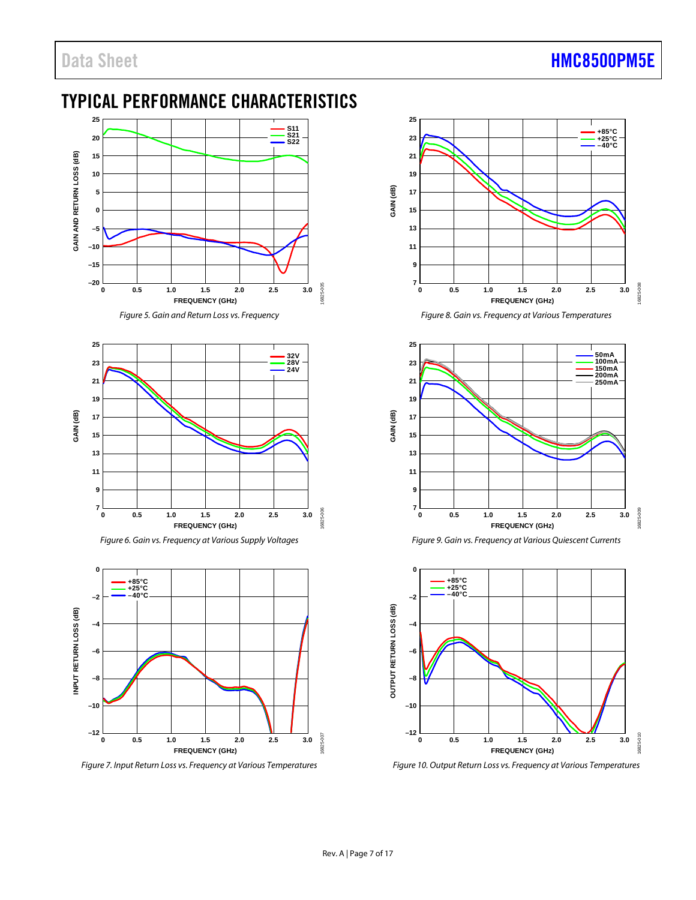## <span id="page-6-0"></span>TYPICAL PERFORMANCE CHARACTERISTICS



*Figure 5. Gain and Return Loss vs. Frequency* 



*Figure 6. Gain vs. Frequency at Various Supply Voltages*



*Figure 7. Input Return Loss vs. Frequency at Various Temperatures*



*Figure 8. Gain vs. Frequency at Various Temperatures* 







*Figure 10. Output Return Loss vs. Frequency at Various Temperatures*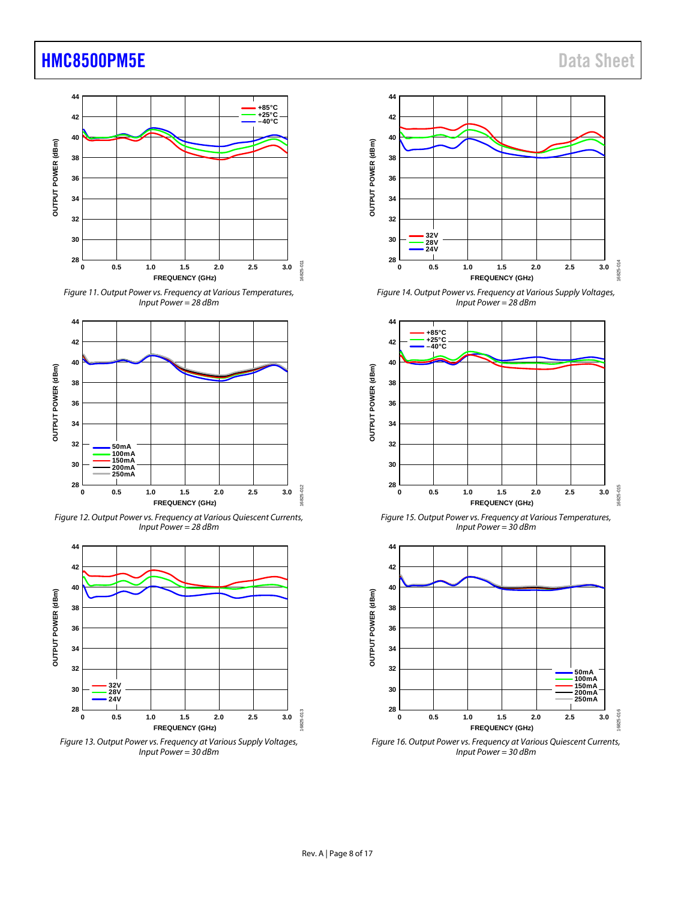





*Figure 12. Output Power vs. Frequency at Various Quiescent Currents, Input Power = 28 dBm*



*Figure 13. Output Power vs. Frequency at Various Supply Voltages, Input Power = 30 dBm*



*Figure 14. Output Power vs. Frequency at Various Supply Voltages, Input Power = 28 dBm*



*Figure 15. Output Power vs. Frequency at Various Temperatures, Input Power = 30 dBm*



*Figure 16. Output Power vs. Frequency at Various Quiescent Currents, Input Power = 30 dBm*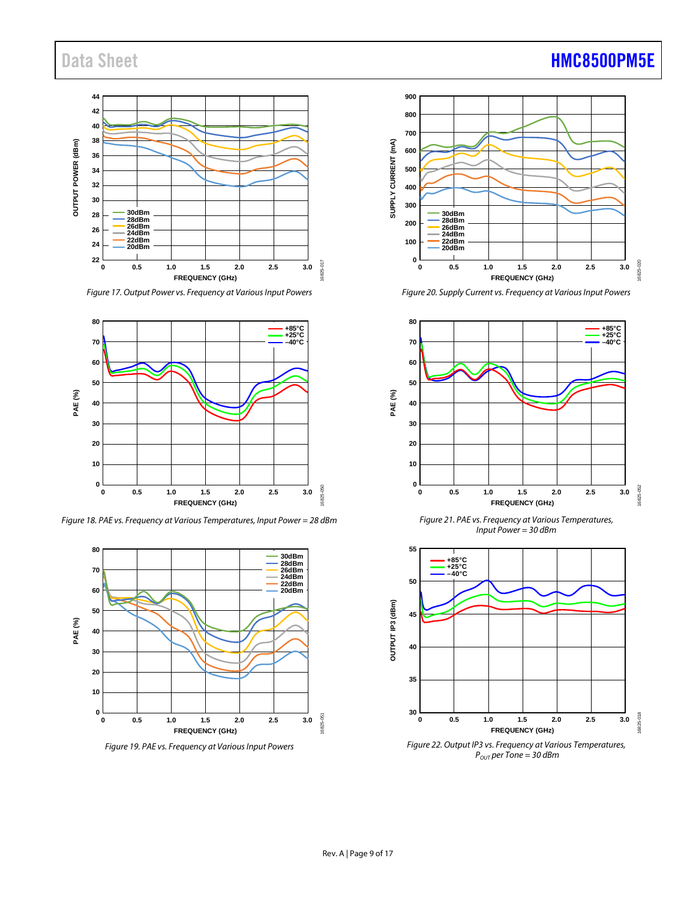#### **44 42 40 38** OUTPUT POWER (dBm) **OUTPUT POWER (dBm) 36 34 32 30 28 30dBm 28dBm 26dBm 24dBm 22dBm 26 24 20dBm 22** 16825-017 6825-017 **0 0.5 1.0 1.5 2.0 2.5 3.0 FREQUENCY (GHz)**

*Figure 17. Output Power vs. Frequency at Various Input Powers*



*Figure 18. PAE vs. Frequency at Various Temperatures, Input Power = 28 dBm*



*Figure 19. PAE vs. Frequency at VariousInput Powers* 



*Figure 20. Supply Current vs. Frequency at Various Input Powers*



*Figure 21. PAE vs. Frequency at Various Temperatures, Input Power = 30 dBm*



*POUT per Tone = 30 dBm*

16825-018

## Data Sheet **[HMC8500PM5E](http://www.analog.com/hmc8500pm5e?doc=hmc8500pm5e.pdf)**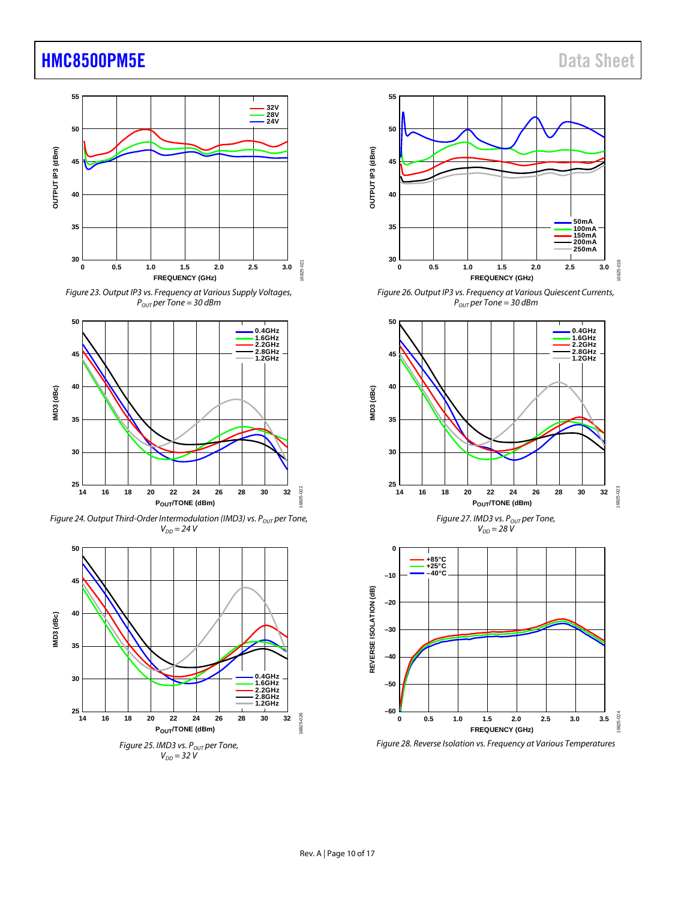

*Figure 23. Output IP3 vs. Frequency at Various Supply Voltages,*  $P_{OUT}$  *per Tone = 30 dBm* 



*Figure 24. Output Third-Order Intermodulation (IMD3) vs. P<sub>OUT</sub> per Tone,*  $V_{DD} = 24 V$ 





*Figure 26. Output IP3 vs. Frequency at Various Quiescent Currents,*  $P_{OUT}$  *per Tone* = 30 dBm





*Figure 28. Reverse Isolation vs. Frequency at Various Temperatures*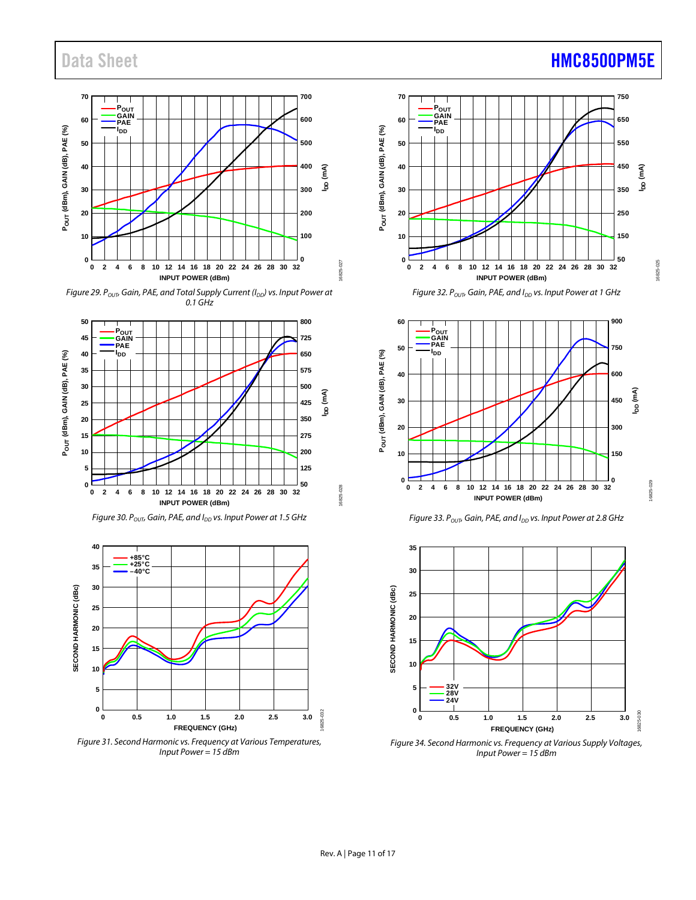

*Figure 29. P<sub>OUT</sub>, Gain, PAE, and Total Supply Current (I<sub>DD</sub>) vs. Input Power at 0.1 GHz*

















*Figure 34. Second Harmonic vs. Frequency at Various Supply Voltages, Input Power = 15 dBm*

## Data Sheet **[HMC8500PM5E](http://www.analog.com/hmc8500pm5e?doc=hmc8500pm5e.pdf)**

16825-028

6825-028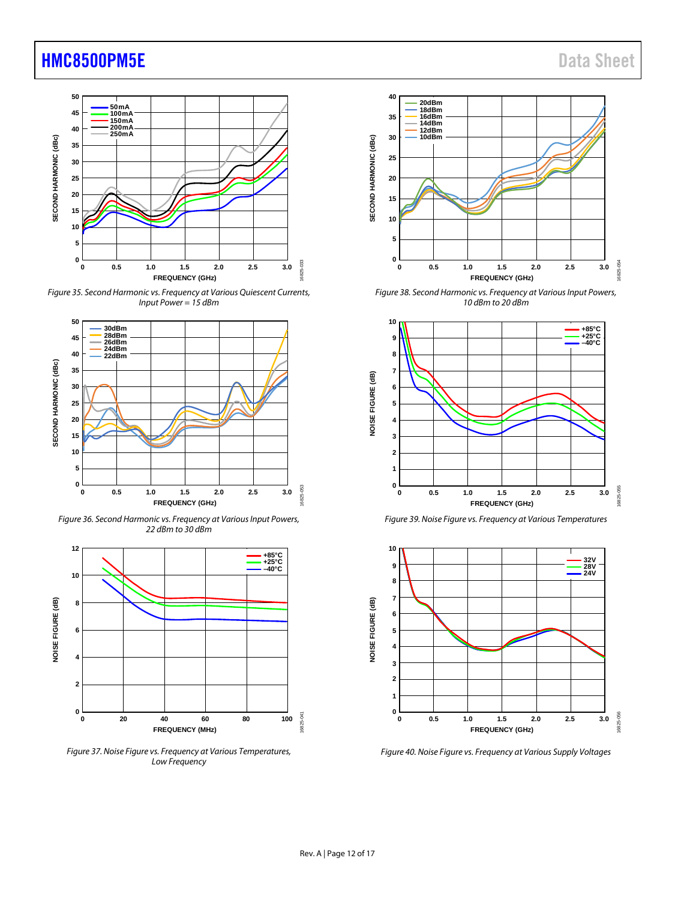

*Figure 35. Second Harmonic vs. Frequency at Various Quiescent Currents, Input Power = 15 dBm*



*Figure 36. Second Harmonic vs. Frequency at Various Input Powers, dBm to 30 dBm* 



*Figure 37. Noise Figure vs. Frequency at Various Temperatures, Low Frequency*



*Figure 38. Second Harmonic vs. Frequency at Various Input Powers, 10 dBm to 20 dBm* 



*Figure 39. Noise Figure vs. Frequency at Various Temperatures*



*Figure 40. Noise Figure vs. Frequency at Various Supply Voltages*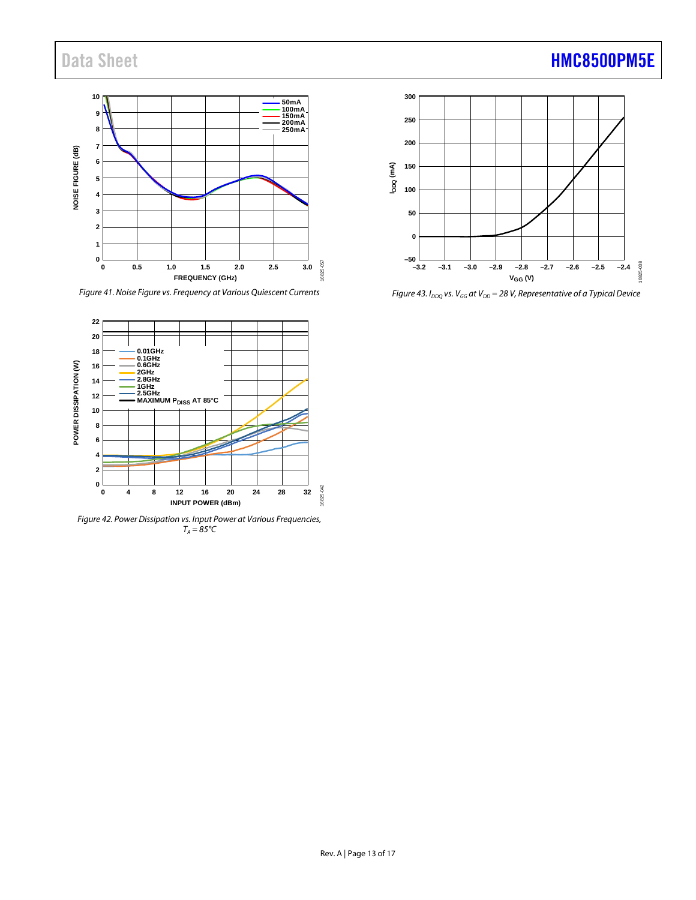# Data Sheet **[HMC8500PM5E](http://www.analog.com/hmc8500pm5e?doc=hmc8500pm5e.pdf)**

#### **10 50mA 100mA 150mA 200mA 250mA 9 8 7** NOISE FIGURE (dB) **NOISE FIGURE (dB) 6 5 4 3 2 1 0** 16825-057 16825-057 **0 0.5 1.0 1.5 2.0 2.5 3.0 FREQUENCY (GHz)**

*Figure 41. Noise Figure vs. Frequency at Various Quiescent Currents*



*Figure 42. Power Dissipation vs. Input Power at Various Frequencies, TA = 85°C*

## **300 250 200 IDDQ (mA) 150 100 50 0 –50** 6825-038 16825-038**–3.2 –3.1 –3.0 –2.9 –2.8 –2.7 –2.6 –2.5 –2.4**

*Figure 43. I<sub>DDQ</sub> vs.*  $V_{GG}$  *at*  $V_{DD}$  = 28 *V, Representative of a Typical Device* **VGG (V)**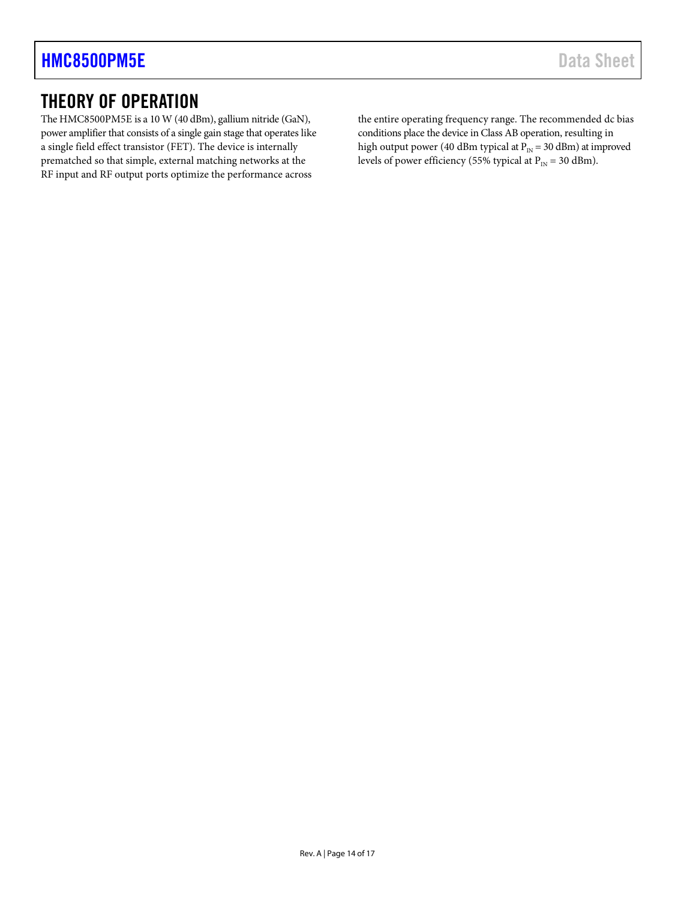## <span id="page-13-0"></span>THEORY OF OPERATION

The HMC8500PM5E is a 10 W (40 dBm), gallium nitride (GaN), power amplifier that consists of a single gain stage that operates like a single field effect transistor (FET). The device is internally prematched so that simple, external matching networks at the RF input and RF output ports optimize the performance across

the entire operating frequency range. The recommended dc bias conditions place the device in Class AB operation, resulting in high output power (40 dBm typical at  $P_{IN} = 30$  dBm) at improved levels of power efficiency (55% typical at  $P_{IN} = 30$  dBm).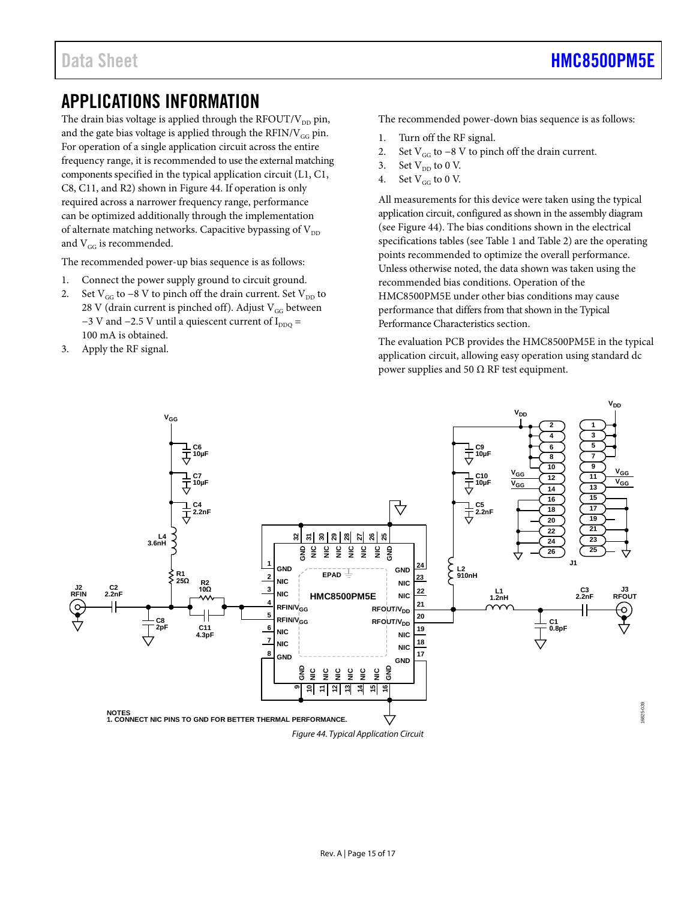## <span id="page-14-0"></span>APPLICATIONS INFORMATION

The drain bias voltage is applied through the RFOUT/ $V_{DD}$  pin, and the gate bias voltage is applied through the  $RFIN/V_{GG}$  pin. For operation of a single application circuit across the entire frequency range, it is recommended to use the external matching components specified in the typical application circuit (L1, C1, C8, C11, and R2) shown i[n Figure 44.](#page-14-1) If operation is only required across a narrower frequency range, performance can be optimized additionally through the implementation of alternate matching networks. Capacitive bypassing of  $V_{DD}$ and  $\mathrm{V_{GG}}$  is recommended.

The recommended power-up bias sequence is as follows:

- 1. Connect the power supply ground to circuit ground.
- 2. Set  $V_{GG}$  to −8 V to pinch off the drain current. Set  $V_{DD}$  to 28 V (drain current is pinched off). Adjust  $V_{GG}$  between −3 V and −2.5 V until a quiescent current of  $I_{DDQ}$  = 100 mA is obtained.
- 3. Apply the RF signal.

The recommended power-down bias sequence is as follows:

- 1. Turn off the RF signal.
- 2. Set  $V_{GG}$  to −8 V to pinch off the drain current.
- 3. Set  $V_{DD}$  to 0 V.
- 4. Set  $V_{GG}$  to 0 V.

All measurements for this device were taken using the typical application circuit, configured as shown in the assembly diagram (see [Figure 44\)](#page-14-1). The bias conditions shown in the electrical specifications tables (se[e Table 1](#page-2-2) and [Table 2\)](#page-2-3) are the operating points recommended to optimize the overall performance. Unless otherwise noted, the data shown was taken using the recommended bias conditions. Operation of the HMC8500PM5E under other bias conditions may cause performance that differs from that shown in th[e Typical](#page-6-0)  [Performance Characteristics](#page-6-0) section.

The evaluation PCB provides the HMC8500PM5E in the typical application circuit, allowing easy operation using standard dc power supplies and 50  $Ω$  RF test equipment.

<span id="page-14-1"></span>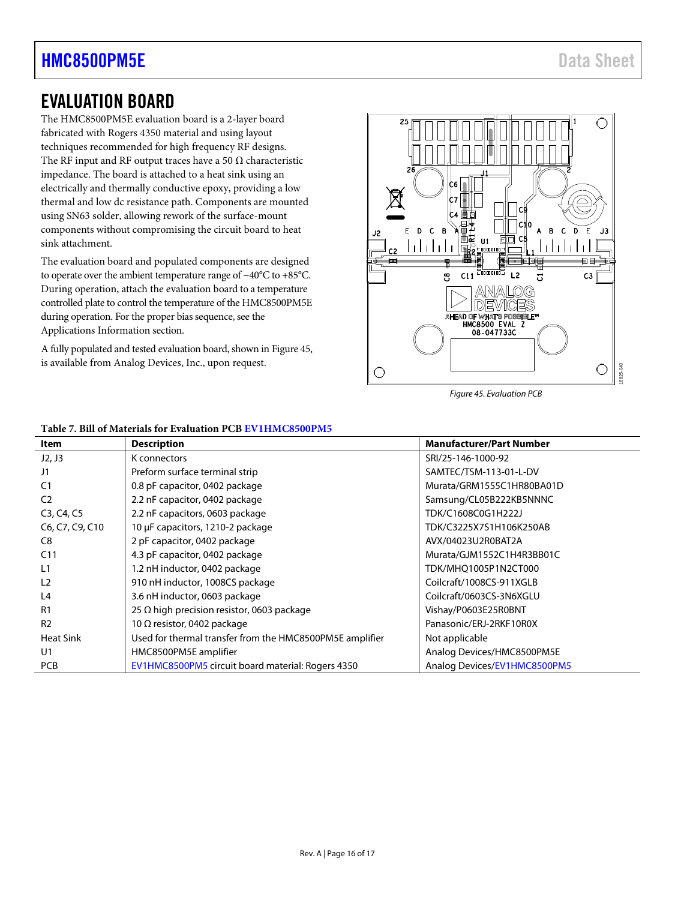## <span id="page-15-0"></span>EVALUATION BOARD

The HMC8500PM5E evaluation board is a 2-layer board fabricated with Rogers 4350 material and using layout techniques recommended for high frequency RF designs. The RF input and RF output traces have a 50  $\Omega$  characteristic impedance. The board is attached to a heat sink using an electrically and thermally conductive epoxy, providing a low thermal and low dc resistance path. Components are mounted using SN63 solder, allowing rework of the surface-mount components without compromising the circuit board to heat sink attachment.

The evaluation board and populated components are designed to operate over the ambient temperature range of −40°C to +85°C. During operation, attach the evaluation board to a temperature controlled plate to control the temperature of the HMC8500PM5E during operation. For the proper bias sequence, see the [Applications Information](#page-14-0) section.

A fully populated and tested evaluation board, shown i[n Figure 45,](#page-15-1) is available from Analog Devices, Inc., upon request.



<span id="page-15-1"></span>*Figure 45. Evaluation PCB*

| Item             | <b>Description</b>                                       | <b>Manufacturer/Part Number</b> |
|------------------|----------------------------------------------------------|---------------------------------|
| J2, J3           | K connectors                                             | SRI/25-146-1000-92              |
| J1               | Preform surface terminal strip                           | SAMTEC/TSM-113-01-L-DV          |
| C <sub>1</sub>   | 0.8 pF capacitor, 0402 package                           | Murata/GRM1555C1HR80BA01D       |
| C <sub>2</sub>   | 2.2 nF capacitor, 0402 package                           | Samsung/CL05B222KB5NNNC         |
| C3, C4, C5       | 2.2 nF capacitors, 0603 package                          | TDK/C1608C0G1H222J              |
| C6, C7, C9, C10  | 10 µF capacitors, 1210-2 package                         | TDK/C3225X7S1H106K250AB         |
| C8               | 2 pF capacitor, 0402 package                             | AVX/04023U2R0BAT2A              |
| C <sub>11</sub>  | 4.3 pF capacitor, 0402 package                           | Murata/GJM1552C1H4R3BB01C       |
| L1               | 1.2 nH inductor, 0402 package                            | TDK/MHQ1005P1N2CT000            |
| L <sub>2</sub>   | 910 nH inductor, 1008CS package                          | Coilcraft/1008CS-911XGLB        |
| L <sub>4</sub>   | 3.6 nH inductor, 0603 package                            | Coilcraft/0603CS-3N6XGLU        |
| R <sub>1</sub>   | 25 $\Omega$ high precision resistor, 0603 package        | Vishay/P0603E25R0BNT            |
| R <sub>2</sub>   | 10 $\Omega$ resistor, 0402 package                       | Panasonic/ERJ-2RKF10R0X         |
| <b>Heat Sink</b> | Used for thermal transfer from the HMC8500PM5E amplifier | Not applicable                  |
| U1               | HMC8500PM5E amplifier                                    | Analog Devices/HMC8500PM5E      |
| <b>PCB</b>       | EV1HMC8500PM5 circuit board material: Rogers 4350        | Analog Devices/EV1HMC8500PM5    |

#### **Table 7. Bill of Materials for Evaluation PC[B EV1HMC8500PM5](http://www.analog.com/eval-HMC8500PM5E?doc=HMC8500PM5E.pdf)**